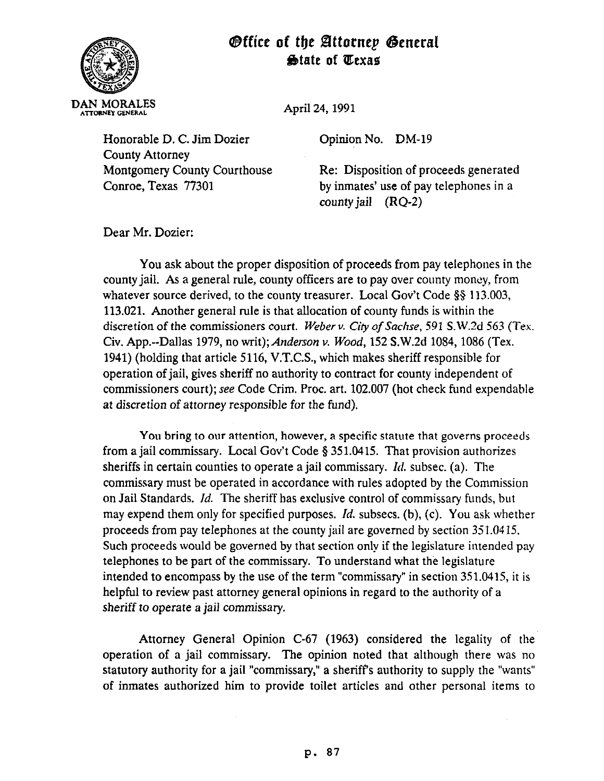## *Office of the Attornep General* **State of Texas**



Honorable D. C. Jim Dozier County Attorney Montgomery County Courthouse Conroe, Texas 77301

April 24, 1991

Opinion No. DM-19

Re: Disposition of proceeds generated by inmates' use of pay telephones in a county jail (RQ-2)

Dear Mr. Dozier:

You ask about the proper disposition of proceeds from pay telephones in the county jail. As a general rule, county officers are to pay over county money, from whatever source derived, to the county treasurer. Local Gov't Code §§ 113.003, 113.021. Another general rule is that allocation of county funds is within the discretion of the commissioners *court. Weber v. Civ of Sachse, 591* S.W.2d 563 (Tex. Civ. App.--Dallas 1979, no writ);Anderson v. *Wood,* 152 S.W.2d 1054, 1086 (Tex. 1941) (holding that article 5116, V.T.C.S., which makes sheriff responsible for operation of jail, gives sheriff no authority to contract for county independent of commissioners court); see Code Crim. Proc. art. 102.007 (hot check fund expendable at discretion of attorney responsible for the fund).

You bring to our attention, however, a specific statute that governs proceeds from a jail commissary. Local Gov't Code \$351.0415. That provision authorizes sheriffs in certain counties to operate a jail commissary.  $Id$ . subsec. (a). The commissary must be operated in accordance with rules adopted by the Commission on Jail Standards. Id. The sheriff has exclusive control of commissary funds, but may expend them only for specified purposes. Id. subsecs. (b), (c). You ask whether proceeds from pay telephones at the county jail are governed by section 351.0415. Such proceeds would be governed by that section only if the legislature intended pay telephones to be part of the commissary. To understand what the legislature intended to encompass by the use of the term "commissary" in section 351.0415, it is helpful to review past attorney general opinions in regard to the authority of a sheriff to operate a jail *commissary.* 

Attorney General Opinion C-67 (1963) considered the legality of the operation of a jail commissary. The opinion noted that although there was no statutory authority for a jail "commissary," a sheriffs authority to supply the "wants" of inmates authorized him to provide toilet articles and other personal items to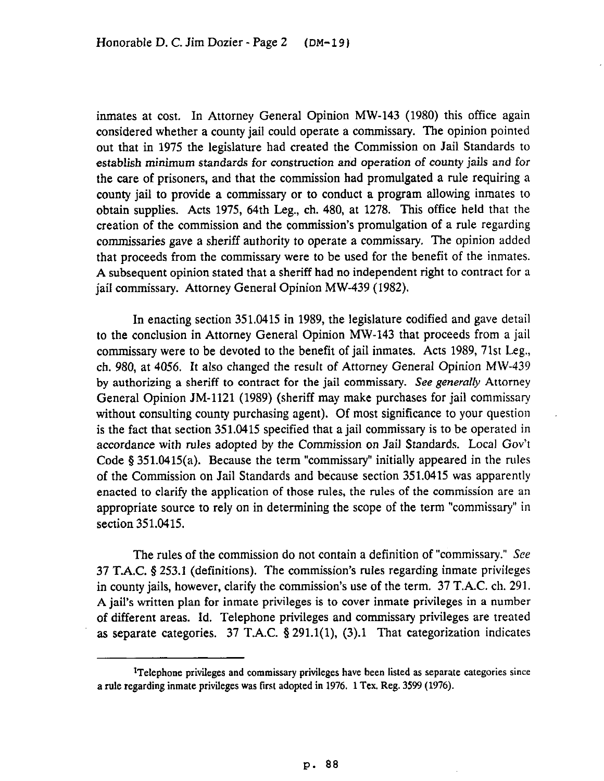inmates at cost. In Attorney General Opinion MW-143 (1980) this office again considered whether a county jail could operate a commissary. The opinion pointed out that in 1975 the legislature had created the Commission on Jail Standards to establish minimum standards for construction and operation of county jails and for the care of prisoners, and that the commission had promulgated a rule requiring a county jail to provide a commissary or to conduct a program allowing inmates to obtain supplies. Acts 1975, 64th Leg., ch. 480, at 1278. This office held that the creation of the commission and the commission's promulgation of a rule regarding commissaries gave a sheriff authority to operate a commissary. The opinion added that proceeds from the commissary were to be used for the benefit of the inmates. A subsequent opinion stated that a sheriff had no independent right to contract for a jail commissary. Attorney General Opinion MW-439 (1982).

In enacting section 351.0415 in 1989, the legislature codified and gave detail to the conclusion in Attorney General Opinion MW-143 that proceeds from a jail commissary were to be devoted to the benefit of jail inmates. Acts 1989, 71st Leg., ch. 980, at 4056. It also changed the result of Attorney General Opinion MW-439 by authorizing a sheriff to contract for the jail commissary. See generally Attorney General Opinion JM-1121 (1989) (sheriff may make purchases for jail commissary without consulting county purchasing agent). Of most significance to your question is the fact that section 351.0415 specified that a jail commissary is to be operated in accordance with rules adopted by the Commission on Jail Standards. Local Gov't Code  $§ 351.0415(a)$ . Because the term "commissary" initially appeared in the rules of the Commission on Jail Standards and because section 351.0415 was apparently enacted to clarify the application of those rules, the rules of the commission are an appropriate source to rely on in determining the scope of the term "commissary" in section 351.0415.

The rules of the commission do not contain a definition of "commissary." See 37 T.A.C. § 253.1 (definitions). The commission's rules regarding inmate privileges in county jails, however, clarify the commission's use of the term. 37 T.A.C. ch. 291. A jail's written plan for inmate privileges is to cover inmate privileges in a number of different areas. Id. Telephone privileges and commissary privileges are treated as separate categories. 37 T.A.C. § 291.1(1), (3).1 That categorization indicates

<sup>&</sup>lt;sup>1</sup>Telephone privileges and commissary privileges have been listed as separate categories since a rule regarding inmate privileges was first adopted in 1976. 1 Tex. Reg. 3599 (1976).